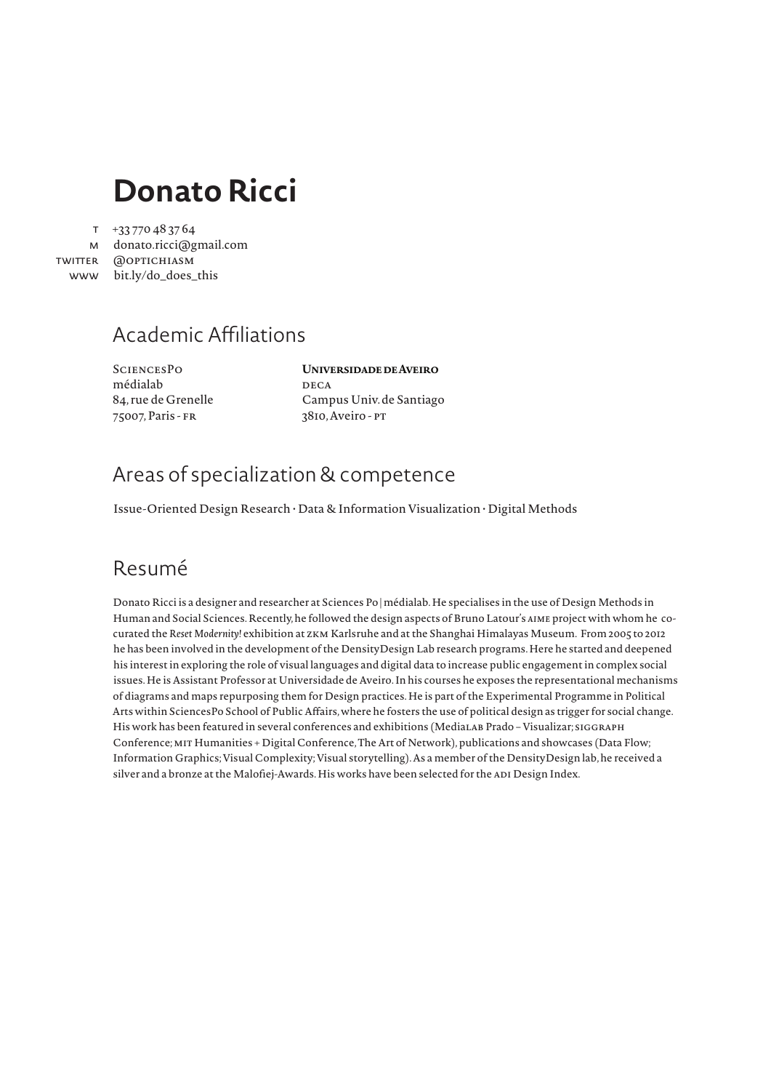# **Donato Ricci**

+33 770 48 37 64 t

м donato.ricci@gmail.com @optichiasm twitter bit.ly/do\_does\_this www

### Academic Affiliations

**SCIENCESPO** médialab 84, rue de Grenelle 75007, Paris - fr

#### **Universidade de Aveiro**

**DECA** Campus Univ. de Santiago 3810, Aveiro - pt

### Areas of specialization & competence

Issue-Oriented Design Research • Data & Information Visualization • Digital Methods

### Resumé

Donato Ricci is a designer and researcher at Sciences Po | médialab. He specialises in the use of Design Methods in Human and Social Sciences. Recently, he followed the design aspects of Bruno Latour's *aime* project with whom he cocurated the *Reset Modernity!* exhibition at zkm Karlsruhe and at the Shanghai Himalayas Museum. From 2005 to 2012 he has been involved in the development of the DensityDesign Lab research programs. Here he started and deepened his interest in exploring the role of visual languages and digital data to increase public engagement in complex social issues. He is Assistant Professor at Universidade de Aveiro. In his courses he exposes the representational mechanisms of diagrams and maps repurposing them for Design practices. He is part of the Experimental Programme in Political Arts within SciencesPo School of Public Affairs, where he fosters the use of political design as trigger for social change. His work has been featured in several conferences and exhibitions (MediaLAB Prado - Visualizar; sIGGRAPH Conference; mit Humanities + Digital Conference, The Art of Network), publications and showcases (Data Flow; Information Graphics; Visual Complexity; Visual storytelling). As a member of the DensityDesign lab, he received a silver and a bronze at the Malofiej-Awards. His works have been selected for the ADI Design Index.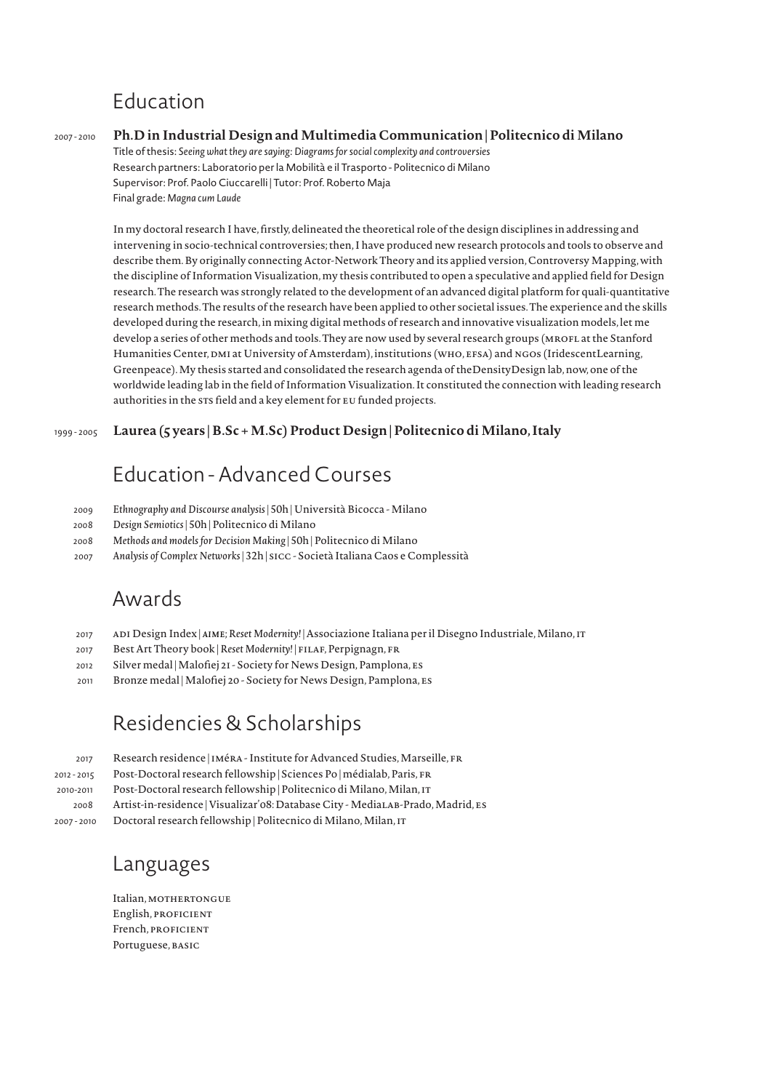# Education

#### *2007 - 2010* **Ph.D in Industrial Design and Multimedia Communication | Politecnico di Milano**

 Title of thesis: *Seeing what they are saying: Diagrams for social complexity and controversies* Research partners: Laboratorio per la Mobilità e il Trasporto - Politecnico di Milano Supervisor: Prof. Paolo Ciuccarelli | Tutor: Prof. Roberto Maja Final grade: *Magna cum Laude*

In my doctoral research I have, firstly, delineated the theoretical role of the design disciplines in addressing and intervening in socio-technical controversies; then, I have produced new research protocols and tools to observe and describe them. By originally connecting Actor-Network Theory and its applied version, Controversy Mapping, with the discipline of Information Visualization, my thesis contributed to open a speculative and applied field for Design research. The research was strongly related to the development of an advanced digital platform for quali-quantitative research methods. The results of the research have been applied to other societal issues. The experience and the skills developed during the research, in mixing digital methods of research and innovative visualization models, let me develop a series of other methods and tools. They are now used by several research groups (MROFL at the Stanford Humanities Center, DMI at University of Amsterdam), institutions (WHO, EFSA) and NGOs (IridescentLearning, Greenpeace). My thesis started and consolidated the research agenda of theDensityDesign lab, now, one of the worldwide leading lab in the field of Information Visualization. It constituted the connection with leading research authorities in the STS field and a key element for EU funded projects.

#### *1999 - 2005* **Laurea (5 years | B.Sc + M.Sc) Product Design | Politecnico di Milano, Italy**

### Education - Advanced Courses

- *2009 Ethnography and Discourse analysis* | 50h | Università Bicocca Milano
- *2008 Design Semiotics* | 50h | Politecnico di Milano
- *2008 Methods and models for Decision Making* | 50h | Politecnico di Milano
- *2007 Analysis of Complex Networks* | 32h | sicc Società Italiana Caos e Complessità

### Awards

- *2017* adi Design Index | *aime*; *Reset Modernity!* | Associazione Italiana per il Disegno Industriale, Milano, it
- *2017* Best Art Theory book | *Reset Modernity!* | filaf, Perpignagn, fr
- *2012* Silver medal | Malofiej 21 Society for News Design, Pamplona, es
- *2011* Bronze medal | Malofiej 20 Society for News Design, Pamplona, es

### Residencies & Scholarships

| 2017        | Research residence   IMÉRA - Institute for Advanced Studies, Marseille, FR      |
|-------------|---------------------------------------------------------------------------------|
| 2012 - 2015 | Post-Doctoral research fellowship   Sciences Po   médialab, Paris, FR           |
| 2010-2011   | Post-Doctoral research fellowship   Politecnico di Milano, Milan, IT            |
| 2008        | Artist-in-residence   Visualizar'08: Database City - MediaLAB-Prado, Madrid, Es |
| 2007 - 2010 | Doctoral research fellowship   Politecnico di Milano, Milan, IT                 |

Languages

Italian, MOTHERTONGUE English, PROFICIENT French, PROFICIENT Portuguese, BASIC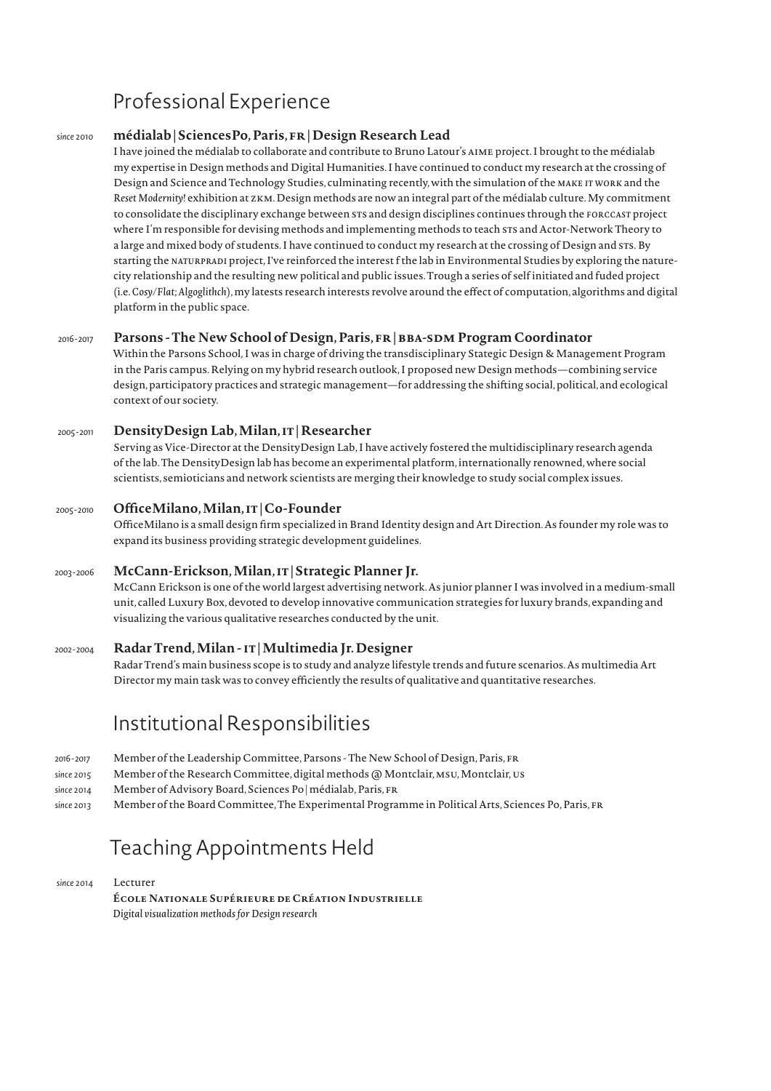# Professional Experience

#### *since 2010* **médialab | SciencesPo, Paris, fr | Design Research Lead**

I have joined the médialab to collaborate and contribute to Bruno Latour's aime project. I brought to the médialab my expertise in Design methods and Digital Humanities. I have continued to conduct my research at the crossing of Design and Science and Technology Studies, culminating recently, with the simulation of the *make it work* and the *Reset Modernity!* exhibition at zkm. Design methods are now an integral part of the médialab culture. My commitment to consolidate the disciplinary exchange between STS and design disciplines continues through the *FORCCAST* project where I'm responsible for devising methods and implementing methods to teach STS and Actor-Network Theory to a large and mixed body of students. I have continued to conduct my research at the crossing of Design and sts*.* By starting the *naturpradi* project, I've reinforced the interest f the lab in Environmental Studies by exploring the naturecity relationship and the resulting new political and public issues. Trough a series of self initiated and fuded project (i.e. *Cosy/Flat*; *Algoglithch*), my latests research interests revolve around the effect of computation, algorithms and digital platform in the public space.

#### *2016 - 2017* **Parsons - The New School of Design, Paris, fr | BBA-SDM Program Coordinator**

Within the Parsons School, I was in charge of driving the transdisciplinary Stategic Design & Management Program in the Paris campus. Relying on my hybrid research outlook, I proposed new Design methods—combining service design, participatory practices and strategic management—for addressing the shifting social, political, and ecological context of our society.

#### *2005 - 2011* **DensityDesign Lab, Milan, it | Researcher**

Serving as Vice-Director at the DensityDesign Lab, I have actively fostered the multidisciplinary research agenda of the lab. The DensityDesign lab has become an experimental platform, internationally renowned, where social scientists, semioticians and network scientists are merging their knowledge to study social complex issues.

#### *2005 - 2010* **OfficeMilano, Milan, it | Co-Founder**

OfficeMilano is a small design firm specialized in Brand Identity design and Art Direction. As founder my role was to expand its business providing strategic development guidelines.

#### *2003 - 2006* **McCann-Erickson, Milan, it | Strategic Planner Jr.**

McCann Erickson is one of the world largest advertising network. As junior planner I was involved in a medium-small unit, called Luxury Box, devoted to develop innovative communication strategies for luxury brands, expanding and visualizing the various qualitative researches conducted by the unit.

#### *2002 - 2004* **Radar Trend, Milan - it | Multimedia Jr. Designer**

Radar Trend's main business scope is to study and analyze lifestyle trends and future scenarios. As multimedia Art Director my main task was to convey efficiently the results of qualitative and quantitative researches.

### Institutional Responsibilities

| 2016-2017  | Member of the Leadership Committee, Parsons - The New School of Design, Paris, FR                   |
|------------|-----------------------------------------------------------------------------------------------------|
| since 2015 | Member of the Research Committee, digital methods @ Montclair, MSU, Montclair, US                   |
| since 2014 | Member of Advisory Board, Sciences Po   médialab, Paris, FR                                         |
| since 2013 | Member of the Board Committee, The Experimental Programme in Political Arts, Sciences Po, Paris, FR |

### Teaching Appointments Held

*since 2014* Lecturer **École Nationale Supérieure de Création Industrielle** *Digital visualization methods for Design research*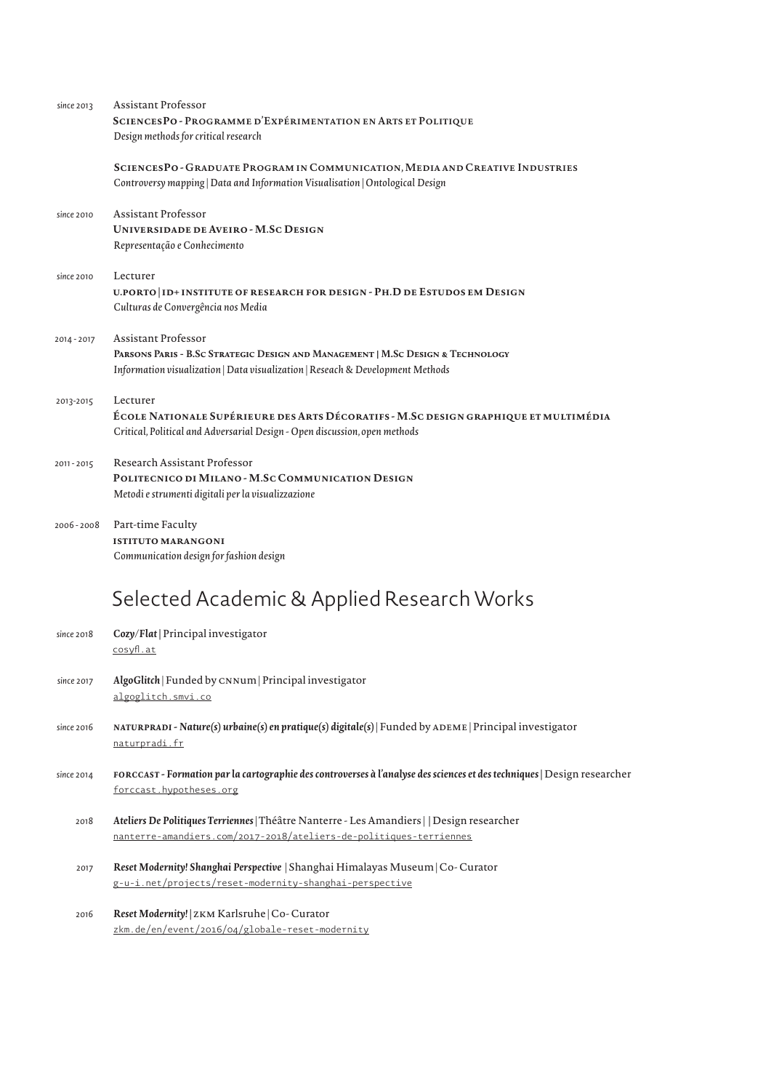| since 2013  | Assistant Professor                                                                                                                                                                             |
|-------------|-------------------------------------------------------------------------------------------------------------------------------------------------------------------------------------------------|
|             | SCIENCESPO - PROGRAMME D'EXPÉRIMENTATION EN ARTS ET POLITIQUE<br>Design methods for critical research                                                                                           |
|             | SCIENCESPO - GRADUATE PROGRAM IN COMMUNICATION, MEDIA AND CREATIVE INDUSTRIES<br>Controversy mapping   Data and Information Visualisation   Ontological Design                                  |
| since 2010  | <b>Assistant Professor</b><br><b>UNIVERSIDADE DE AVEIRO - M.SC DESIGN</b><br>Representação e Conhecimento                                                                                       |
| since 2010  | Lecturer<br>U.PORTO   ID+ INSTITUTE OF RESEARCH FOR DESIGN - PH.D DE ESTUDOS EM DESIGN<br>Culturas de Convergência nos Media                                                                    |
| 2014 - 2017 | <b>Assistant Professor</b><br>PARSONS PARIS - B.SC STRATEGIC DESIGN AND MANAGEMENT   M.SC DESIGN & TECHNOLOGY<br>Information visualization   Data visualization   Reseach & Development Methods |
| 2013-2015   | Lecturer<br>ÉCOLE NATIONALE SUPÉRIEURE DES ARTS DÉCORATIFS - M.SC DESIGN GRAPHIQUE ET MULTIMÉDIA<br>Critical, Political and Adversarial Design - Open discussion, open methods                  |
| 2011-2015   | Research Assistant Professor<br>POLITECNICO DI MILANO - M.SC COMMUNICATION DESIGN<br>Metodi e strumenti digitali per la visualizzazione                                                         |
| 2006-2008   | Part-time Faculty<br><b>ISTITUTO MARANGONI</b><br>Communication design for fashion design                                                                                                       |
|             | Selected Academic & Applied Research Works                                                                                                                                                      |
| since 2018  | Cozy/Flat   Principal investigator<br>cosyfl.at                                                                                                                                                 |
| since 2017  | AlgoGlitch   Funded by CNNum   Principal investigator<br>algoglitch.smvi.co                                                                                                                     |
| since 2016  | NATURPRADI - Nature(s) urbaine(s) en pratique(s) digitale(s)   Funded by ADEME   Principal investigator<br>naturpradi.fr                                                                        |
| since 2014  | FORCCAST - Formation par la cartographie des controverses à l'analyse des sciences et des techniques   Design researcher<br>forccast.hypotheses.org                                             |
| 2018        | Ateliers De Politiques Terriennes   Théâtre Nanterre - Les Amandiers     Design researcher<br>nanterre-amandiers.com/2017-2018/ateliers-de-politiques-terriennes                                |
| 2017        | Reset Modernity! Shanghai Perspective   Shanghai Himalayas Museum   Co-Curator<br>g-u-i.net/projects/reset-modernity-shanghai-perspective                                                       |

*2016 Reset Modernity! |* zkm Karlsruhe | Co- Curator zkm.de/en/event/2016/04/globale-reset-modernity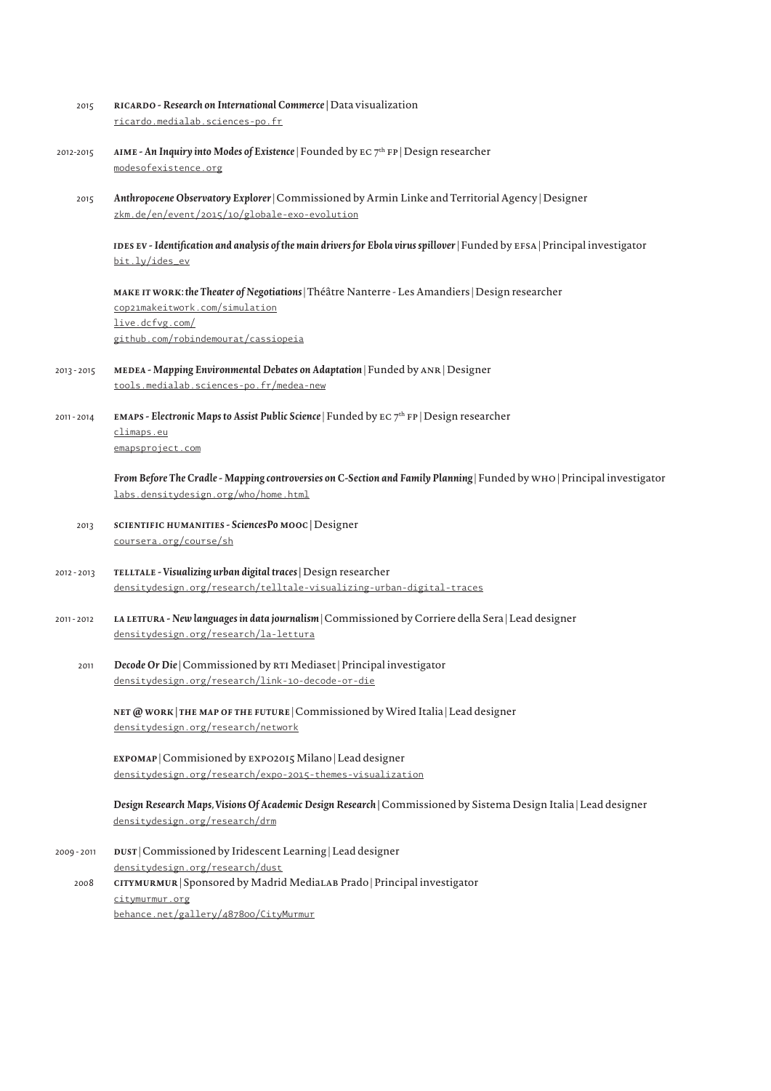| 2015        | RICARDO - Research on International Commerce   Data visualization<br>ricardo.medialab.sciences-po.fr                                                                                         |
|-------------|----------------------------------------------------------------------------------------------------------------------------------------------------------------------------------------------|
| 2012-2015   | AIME - An Inquiry into Modes of Existence   Founded by $EC 7th FP$   Design researcher<br>modesofexistence.org                                                                               |
| 2015        | Anthropocene Observatory Explorer   Commissioned by Armin Linke and Territorial Agency   Designer<br>zkm.de/en/event/2015/10/globale-exo-evolution                                           |
|             | IDES EV - Identification and analysis of the main drivers for Ebola virus spillover   Funded by EFSA   Principal investigator<br>bit.ly/ides_ev                                              |
|             | MAKE IT WORK: the Theater of Negotiations   Théâtre Nanterre - Les Amandiers   Design researcher<br>cop21makeitwork.com/simulation<br>live.dcfvg.com/<br>github.com/robindemourat/cassiopeia |
| 2013 - 2015 | MEDEA - Mapping Environmental Debates on Adaptation   Funded by ANR   Designer<br>tools.medialab.sciences-po.fr/medea-new                                                                    |
| 2011-2014   | <b>EMAPS - Electronic Maps to Assist Public Science</b>   Funded by EC $7th$ FP   Design researcher<br>climaps.eu<br>emapsproject.com                                                        |
|             | From Before The Cradle - Mapping controversies on C-Section and Family Planning   Funded by WHO   Principal investigator<br>labs.densitydesign.org/who/home.html                             |
| 2013        | SCIENTIFIC HUMANITIES - SciencesPo MOOC   Designer<br>coursera.org/course/sh                                                                                                                 |
| 2012 - 2013 | TELLTALE - Visualizing urban digital traces   Design researcher<br>densitydesign.org/research/telltale-visualizing-urban-digital-traces                                                      |
| 2011-2012   | LA LETTURA - New languages in data journalism   Commissioned by Corriere della Sera   Lead designer<br>densitydesign.org/research/la-lettura                                                 |
| 2011        | Decode Or Die   Commissioned by RTI Mediaset   Principal investigator<br>densitydesign.org/research/link-10-decode-or-die                                                                    |
|             | NET @ WORK   THE MAP OF THE FUTURE   Commissioned by Wired Italia   Lead designer<br>densitydesign.org/research/network                                                                      |
|             | EXPOMAP   Commisioned by EXPO2015 Milano   Lead designer<br>densitydesign.org/research/expo-2015-themes-visualization                                                                        |
|             | Design Research Maps, Visions Of Academic Design Research   Commissioned by Sistema Design Italia   Lead designer<br>densitydesign.org/research/drm                                          |
| 2009 - 2011 | DUST   Commissioned by Iridescent Learning   Lead designer<br>densitydesign.org/research/dust                                                                                                |
| 2008        | CITYMURMUR   Sponsored by Madrid MediaLAB Prado   Principal investigator<br>citymurmur.org<br>behance.net/gallery/487800/CityMurmur                                                          |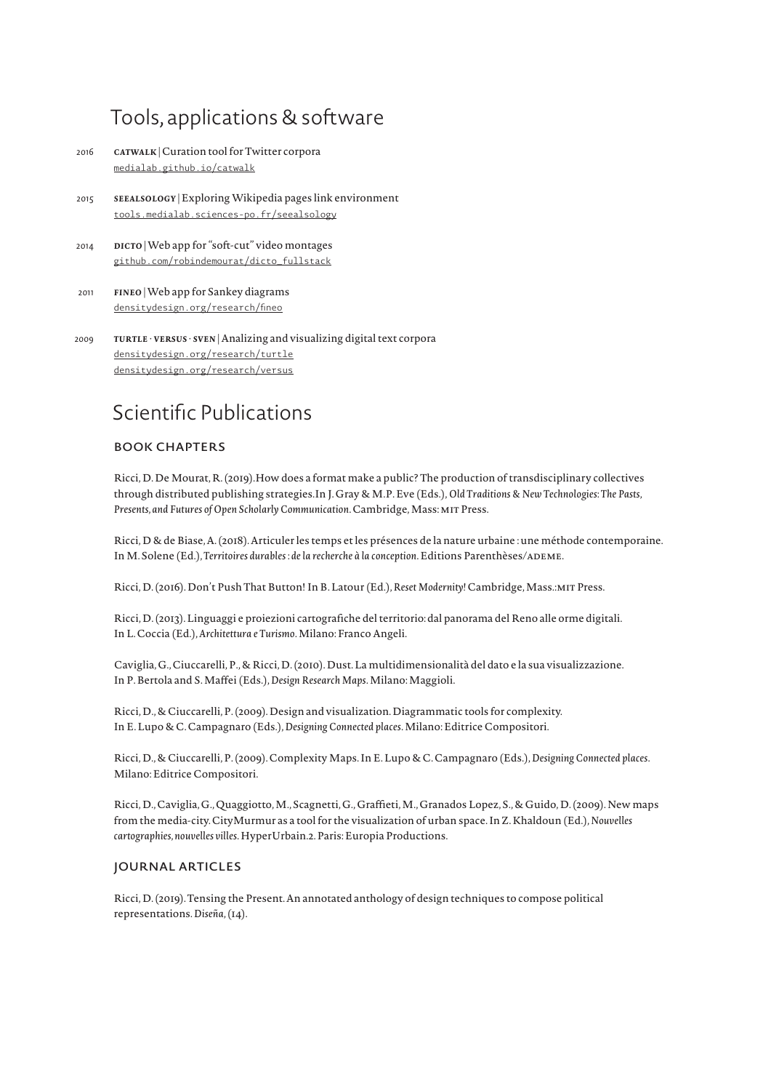### Tools, applications & software

- *2016 catwalk* | Curation tool for Twitter corpora medialab.github.io/catwalk
- *2015 seealsology* | Exploring Wikipedia pages link environment tools.medialab.sciences-po.fr/seealsology
- *2014 dicto* | Web app for "soft-cut" video montages github.com/robindemourat/dicto\_fullstack
- *2011 fineo* | Web app for Sankey diagrams densitydesign.org/research/fineo
- *2009 turtle* · *versus* · *sven* | Analizing and visualizing digital text corpora densitydesign.org/research/turtle densitydesign.org/research/versus

### Scientific Publications

#### Book Chapters

 Ricci, D. De Mourat, R. (2019).How does a format make a public? The production of transdisciplinary collectives through distributed publishing strategies.In J. Gray & M.P. Eve (Eds.), *Old Traditions & New Technologies: The Pasts, Presents, and Futures of Open Scholarly Communication*. Cambridge, Mass: mit Press.

 Ricci, D & de Biase, A. (2018). Articuler les temps et les présences de la nature urbaine : une méthode contemporaine. In M. Solene (Ed.), *Territoires durables : de la recherche à la conception*. Editions Parenthèses/ADEME.

Ricci, D. (2016). Don't Push That Button! In B. Latour (Ed.), *Reset Modernity!* Cambridge, Mass.:mit Press.

Ricci, D. (2013). Linguaggi e proiezioni cartografiche del territorio: dal panorama del Reno alle orme digitali. In L. Coccia (Ed.), *Architettura e Turismo*. Milano: Franco Angeli.

Caviglia, G., Ciuccarelli, P., & Ricci, D. (2010).Dust. La multidimensionalità del dato e la sua visualizzazione. In P. Bertola and S. Maffei (Eds.), *Design Research Maps*. Milano: Maggioli.

Ricci, D., & Ciuccarelli, P. (2009). Design and visualization. Diagrammatic tools for complexity. In E. Lupo & C. Campagnaro (Eds.), *Designing Connected places*. Milano: Editrice Compositori.

 Ricci, D., & Ciuccarelli, P. (2009). Complexity Maps. In E. Lupo & C. Campagnaro (Eds.), *Designing Connected places*. Milano: Editrice Compositori.

 Ricci, D., Caviglia, G., Quaggiotto, M., Scagnetti, G., Graffieti, M., Granados Lopez, S., & Guido, D. (2009). New maps from the media-city. CityMurmur as a tool for the visualization of urban space. In Z. Khaldoun (Ed.), *Nouvelles cartographies, nouvelles villes*. HyperUrbain.2. Paris: Europia Productions.

#### journal Articles

 Ricci, D. (2019). Tensing the Present. An annotated anthology of design techniques to compose political representations. *Diseña*, (14).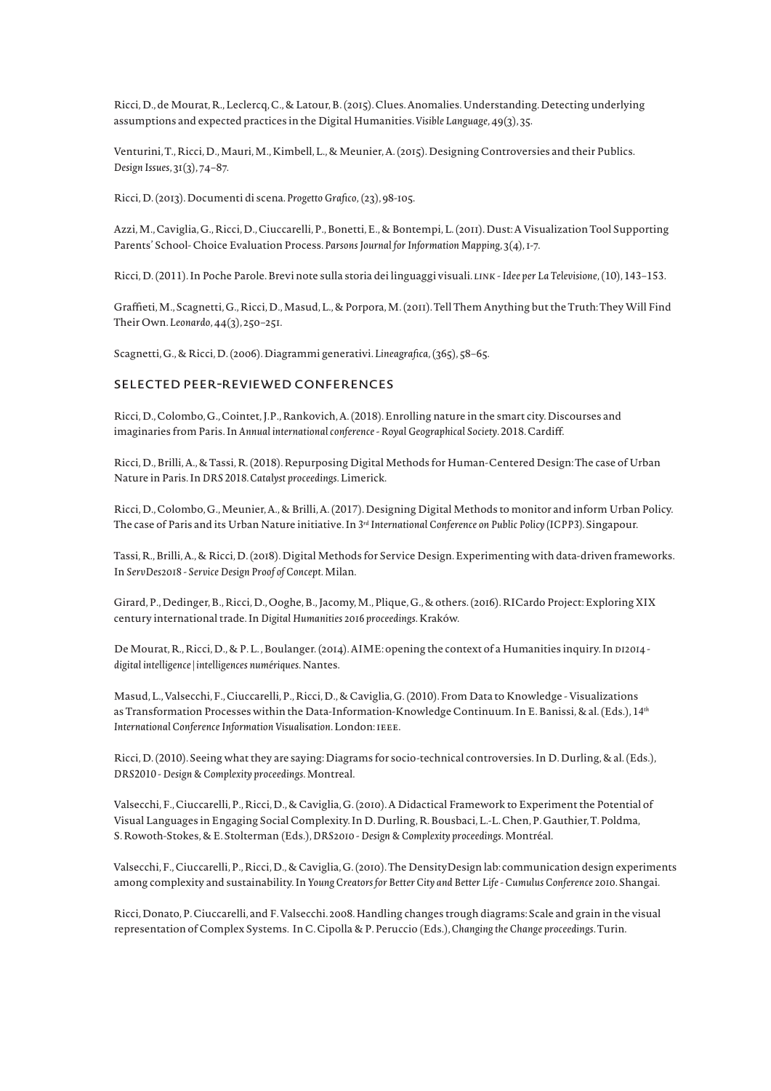Ricci, D., de Mourat, R., Leclercq, C., & Latour, B. (2015). Clues. Anomalies. Understanding. Detecting underlying assumptions and expected practices in the Digital Humanities. *Visible Language*, 49(3), 35.

 Venturini, T., Ricci, D., Mauri, M., Kimbell, L., & Meunier, A. (2015). Designing Controversies and their Publics. *Design Issues*, 31(3), 74–87.

Ricci, D. (2013). Documenti di scena. *Progetto Grafico,* (23), 98-105.

 Azzi, M., Caviglia, G., Ricci, D., Ciuccarelli, P., Bonetti, E., & Bontempi, L. (2011). Dust: A Visualization Tool Supporting Parents' School- Choice Evaluation Process. *Parsons Journal for Information Mapping*, 3(4), 1-7.

Ricci, D. (2011). In Poche Parole. Brevi note sulla storia dei linguaggi visuali. *link - Idee per La Televisione*, (10), 143–153.

 Graffieti, M., Scagnetti, G., Ricci, D., Masud, L., & Porpora, M. (2011). Tell Them Anything but the Truth: They Will Find Their Own. *Leonardo*, 44(3), 250–251.

Scagnetti, G., & Ricci, D. (2006). Diagrammi generativi. *Lineagrafica*, (365), 58–65.

#### selected peer-reviewed conferences

 Ricci, D., Colombo, G., Cointet, J.P., Rankovich, A. (2018). Enrolling nature in the smart city. Discourses and imaginaries from Paris. In *Annual international conference - Royal Geographical Society*. 2018. Cardiff.

Ricci, D., Brilli, A., & Tassi, R. (2018). Repurposing Digital Methods for Human-Centered Design: The case of Urban Nature in Paris. In *DRS 2018. Catalyst proceedings*. Limerick.

 Ricci, D., Colombo, G., Meunier, A., & Brilli, A. (2017). Designing Digital Methods to monitor and inform Urban Policy. The case of Paris and its Urban Nature initiative. In *3rd International Conference on Public Policy (ICPP3)*. Singapour.

 Tassi, R., Brilli, A., & Ricci, D. (2018). Digital Methods for Service Design. Experimenting with data-driven frameworks. In *ServDes2018 - Service Design Proof of Concept*. Milan.

 Girard, P., Dedinger, B., Ricci, D., Ooghe, B., Jacomy, M., Plique, G., & others. (2016). RICardo Project: Exploring XIX century international trade. In *Digital Humanities 2016 proceedings*. Kraków.

De Mourat, R., Ricci, D., & P. L. , Boulanger. (2014). AIME: opening the context of a Humanities inquiry. In *di2014 digital intelligence | intelligences numériques*. Nantes.

 Masud, L., Valsecchi, F., Ciuccarelli, P., Ricci, D., & Caviglia, G. (2010). From Data to Knowledge - Visualizations as Transformation Processes within the Data-Information-Knowledge Continuum. In E. Banissi, & al. (Eds.), 1*4th International Conference Information Visualisation*. London: ieee.

 Ricci, D. (2010). Seeing what they are saying: Diagrams for socio-technical controversies. In D. Durling, & al. (Eds.), *DRS2010 - Design & Complexity proceedings*. Montreal.

 Valsecchi, F., Ciuccarelli, P., Ricci, D., & Caviglia, G. (2010). A Didactical Framework to Experiment the Potential of Visual Languages in Engaging Social Complexity. In D. Durling, R. Bousbaci, L.-L. Chen, P. Gauthier, T. Poldma, S. Rowoth-Stokes, & E. Stolterman (Eds.), *DRS2010 - Design & Complexity proceedings*. Montréal.

Valsecchi, F., Ciuccarelli, P., Ricci, D., & Caviglia, G. (2010). The DensityDesign lab: communication design experiments among complexity and sustainability. In *Young Creators for Better City and Better Life - Cumulus Conference 2010*. Shangai.

Ricci, Donato, P. Ciuccarelli, and F. Valsecchi. 2008.Handling changes trough diagrams: Scale and grain in the visual representation of Complex Systems. In C. Cipolla & P. Peruccio (Eds.), *Changing the Change proceedings*. Turin.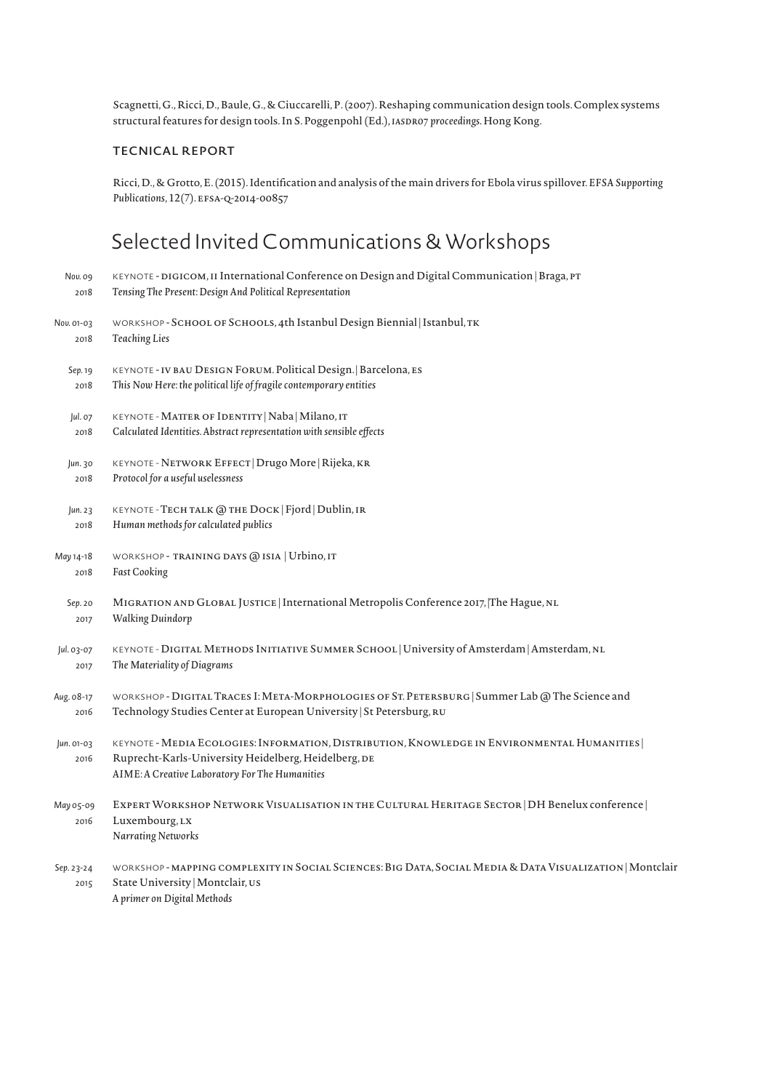Scagnetti, G., Ricci, D., Baule, G., & Ciuccarelli, P. (2007). Reshaping communication design tools. Complex systems structural features for design tools. In S. Poggenpohl (Ed.), *IASDRO7 proceedings*. Hong Kong.

#### Tecnical report

Ricci, D., & Grotto, E. (2015). Identification and analysis of the main drivers for Ebola virus spillover. *EFSA Supporting*  Publications, 12(7). EFSA-Q-2014-00857

## Selected Invited Communications & Workshops

| Nov. 09            | KEYNOTE - DIGICOM, II International Conference on Design and Digital Communication   Braga, PT                                                                                                        |
|--------------------|-------------------------------------------------------------------------------------------------------------------------------------------------------------------------------------------------------|
| 2018               | Tensing The Present: Design And Political Representation                                                                                                                                              |
| Nov. 01-03         | WORKSHOP - SCHOOL OF SCHOOLS, 4th Istanbul Design Biennial   Istanbul, TK                                                                                                                             |
| 2018               | <b>Teaching Lies</b>                                                                                                                                                                                  |
| Sep. 19            | KEYNOTE - IV BAU DESIGN FORUM. Political Design.   Barcelona, ES                                                                                                                                      |
| 2018               | This Now Here: the political life of fragile contemporary entities                                                                                                                                    |
| Jul. 07            | KEYNOTE - MATTER OF IDENTITY   Naba   Milano, IT                                                                                                                                                      |
| 2018               | Calculated Identities. Abstract representation with sensible effects                                                                                                                                  |
| Jun. 30            | KEYNOTE - NETWORK EFFECT   Drugo More   Rijeka, KR                                                                                                                                                    |
| 2018               | Protocol for a useful uselessness                                                                                                                                                                     |
| Jun. 23            | KEYNOTE - TECH TALK @ THE DOCK   Fjord   Dublin, IR                                                                                                                                                   |
| 2018               | Human methods for calculated publics                                                                                                                                                                  |
| May 14-18          | WORKSHOP - TRAINING DAYS @ ISIA   Urbino, IT                                                                                                                                                          |
| 2018               | <b>Fast Cooking</b>                                                                                                                                                                                   |
| Sep. 20            | MIGRATION AND GLOBAL JUSTICE   International Metropolis Conference 2017, The Hague, NL                                                                                                                |
| 2017               | <b>Walking Duindorp</b>                                                                                                                                                                               |
| Jul. 03-07         | KEYNOTE - DIGITAL METHODS INITIATIVE SUMMER SCHOOL   University of Amsterdam   Amsterdam, NL                                                                                                          |
| 2017               | The Materiality of Diagrams                                                                                                                                                                           |
| Aug. 08-17         | WORKSHOP - DIGITAL TRACES I: META-MORPHOLOGIES OF ST. PETERSBURG   Summer Lab @ The Science and                                                                                                       |
| 2016               | Technology Studies Center at European University   St Petersburg, RU                                                                                                                                  |
| Jun. 01-03<br>2016 | KEYNOTE - MEDIA ECOLOGIES: INFORMATION, DISTRIBUTION, KNOWLEDGE IN ENVIRONMENTAL HUMANITIES<br>Ruprecht-Karls-University Heidelberg, Heidelberg, DE<br>AIME: A Creative Laboratory For The Humanities |
| May 05-09<br>2016  | EXPERT WORKSHOP NETWORK VISUALISATION IN THE CULTURAL HERITAGE SECTOR   DH Benelux conference  <br>Luxembourg, LX<br>Narrating Networks                                                               |
| Sep. 23-24<br>2015 | WORKSHOP - MAPPING COMPLEXITY IN SOCIAL SCIENCES: BIG DATA, SOCIAL MEDIA & DATA VISUALIZATION   Montclaii<br>State University   Montclair, us<br>A primer on Digital Methods                          |